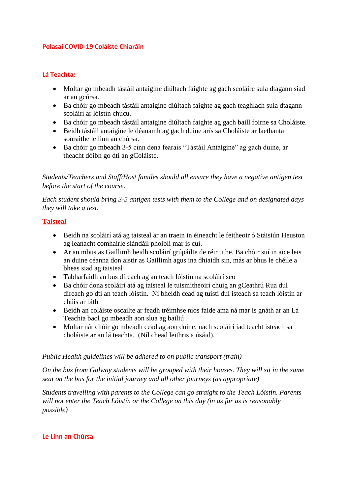### **Polasaí COVID-19 Coláiste Chiaráin**

## **Lá Teachta:**

- Moltar go mbeadh tástáil antaigine diúltach faighte ag gach scoláire sula dtagann siad ar an gcúrsa.
- Ba chóir go mbeadh tástáil antaigine diúltach faighte ag gach teaghlach sula dtagann scoláirí ar lóistín chucu.
- Ba chóir go mbeadh tástáil antaigine diúltach faighte ag gach baill foirne sa Choláiste.
- Beidh tástáil antaigine le déanamh ag gach duine arís sa Choláiste ar laethanta sonraithe le linn an chúrsa.
- Ba chóir go mbeadh 3-5 cinn dena fearais "Tástáil Antaigine" ag gach duine, ar theacht dóibh go dtí an gColáiste.

*Students/Teachers and Staff/Host familes should all ensure they have a negative antigen test before the start of the course.* 

*Each student should bring 3-5 antigen tests with them to the College and on designated days they will take a test.* 

### **Taisteal**

- Beidh na scoláirí atá ag taisteal ar an traein in éineacht le feitheoir ó Stáisiún Heuston ag leanacht comhairle slándáil phoiblí mar is cuí.
- Ar an mbus as Gaillimh beidh scoláirí grúpáilte de réir tithe. Ba chóir suí in aice leis an duine céanna don aistir as Gaillimh agus ina dhiaidh sin, más ar bhus le chéile a bheas siad ag taisteal
- Tabharfaidh an bus díreach ag an teach lóistín na scoláirí seo
- Ba chóir dona scoláirí atá ag taisteal le tuismitheoirí chuig an gCeathrú Rua dul díreach go dtí an teach lóistín. Ní bheidh cead ag tuistí dul isteach sa teach lóistin ar chúis ar bith
- Beidh an coláiste oscailte ar feadh tréimhse níos faide ama ná mar is gnáth ar an Lá Teachta baol go mbeadh aon slua ag bailiú
- Moltar nár chóir go mbeadh cead ag aon duine, nach scoláirí iad teacht isteach sa choláiste ar an lá teachta. (Níl chead leithris a úsáid).

### *Public Health guidelines will be adhered to on public transport (train)*

*On the bus from Galway students will be grouped with their houses. They will sit in the same seat on the bus for the initial journey and all other journeys (as appropriate)*

*Students travelling with parents to the College can go straight to the Teach Lóistín. Parents will not enter the Teach Lóistín or the College on this day (in as far as is reasonably possible)*

#### **Le Linn an Chúrsa**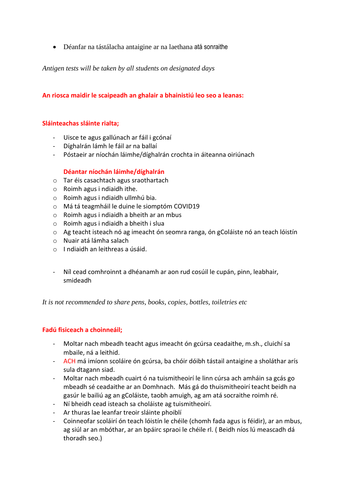Déanfar na tástálacha antaigine ar na laethana atá sonraithe

*Antigen tests will be taken by all students on designated days*

### **An riosca maidir le scaipeadh an ghalair a bhainistiú leo seo a leanas:**

#### **Sláinteachas sláinte rialta;**

- Uisce te agus gallúnach ar fáil i gcónaí
- Díghalrán lámh le fáil ar na ballaí
- Póstaeir ar níochán láimhe/díghalrán crochta in áiteanna oiriúnach

#### **Déantar níochán láimhe/díghalrán**

- o Tar éis casachtach agus sraothartach
- o Roimh agus i ndiaidh ithe.
- o Roimh agus i ndiaidh ullmhú bia.
- o Má tá teagmháil le duine le siomptóm COVID19
- o Roimh agus i ndiaidh a bheith ar an mbus
- o Roimh agus i ndiaidh a bheith i slua
- o Ag teacht isteach nó ag imeacht ón seomra ranga, ón gColáiste nó an teach lóistín
- o Nuair atá lámha salach
- o I ndiaidh an leithreas a úsáid.
- Níl cead comhroinnt a dhéanamh ar aon rud cosúil le cupán, pinn, leabhair, smideadh

*It is not recommended to share pens, books, copies, bottles, toiletries etc*

#### **Fadú fisiceach a choinneáil;**

- Moltar nach mbeadh teacht agus imeacht ón gcúrsa ceadaithe, m.sh., cluichí sa mbaile, ná a leithid.
- ACH má imíonn scoláire ón gcúrsa, ba chóir dóibh tástail antaigine a sholáthar arís sula dtagann siad.
- Moltar nach mbeadh cuairt ó na tuismitheoirí le linn cúrsa ach amháin sa gcás go mbeadh sé ceadaithe ar an Domhnach. Más gá do thuismitheoirí teacht beidh na gasúr le bailiú ag an gColáiste, taobh amuigh, ag am atá socraithe roimh ré.
- Ní bheidh cead isteach sa choláiste ag tuismitheoirí.
- Ar thuras lae leanfar treoir sláinte phoiblí
- Coinneofar scoláirí ón teach lóistín le chéile (chomh fada agus is féidir), ar an mbus, ag siúl ar an mbóthar, ar an bpáirc spraoi le chéile rl. ( Beidh níos lú meascadh dá thoradh seo.)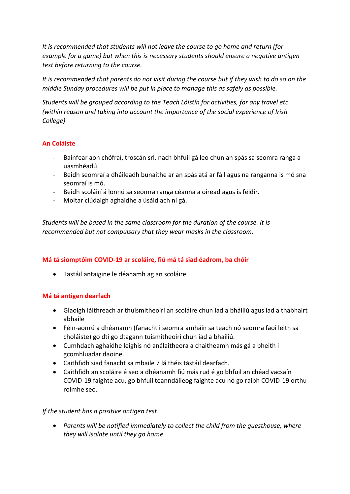*It is recommended that students will not leave the course to go home and return (for example for a game) but when this is necessary students should ensure a negative antigen test before returning to the course.*

*It is recommended that parents do not visit during the course but if they wish to do so on the middle Sunday procedures will be put in place to manage this as safely as possible.*

*Students will be grouped according to the Teach Lóistín for activities, for any travel etc (within reason and taking into account the importance of the social experience of Irish College)*

# **An Coláiste**

- Bainfear aon chófraí, troscán srl. nach bhfuil gá leo chun an spás sa seomra ranga a uasmhéadú.
- Beidh seomraí a dháileadh bunaithe ar an spás atá ar fáil agus na ranganna is mó sna seomraí is mó.
- Beidh scoláirí á lonnú sa seomra ranga céanna a oiread agus is féidir.
- Moltar clúdaigh aghaidhe a úsáid ach ní gá.

*Students will be based in the same classroom for the duration of the course. It is recommended but not compulsary that they wear masks in the classroom.* 

# **Má tá siomptóim COVID-19 ar scoláire, fiú má tá siad éadrom, ba chóir**

Tastáil antaigine le déanamh ag an scoláire

# **Má tá antigen dearfach**

- Glaoigh láithreach ar thuismitheoirí an scoláire chun iad a bháiliú agus iad a thabhairt abhaile
- Féin-aonrú a dhéanamh (fanacht i seomra amháin sa teach nó seomra faoi leith sa choláiste) go dtí go dtagann tuismitheoirí chun iad a bhailiú.
- Cumhdach aghaidhe leighis nó análaitheora a chaitheamh más gá a bheith i gcomhluadar daoine.
- Caithfidh siad fanacht sa mbaile 7 lá théis tástáil dearfach.
- Caithfidh an scoláire é seo a dhéanamh fiú más rud é go bhfuil an chéad vacsaín COVID-19 faighte acu, go bhfuil teanndáileog faighte acu nó go raibh COVID-19 orthu roimhe seo.

# *If the student has a positive antigen test*

 *Parents will be notified immediately to collect the child from the guesthouse, where they will isolate until they go home*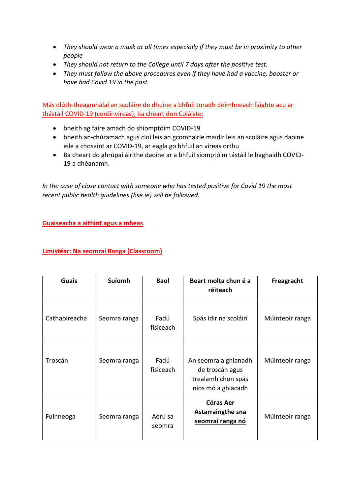- *They should wear a mask at all times especially if they must be in proximity to other people*
- *They should not return to the College until 7 days after the positive test.*
- *They must follow the above procedures even if they have had a vaccine, booster or have had Covid 19 in the past.*

Más dlúth-theagmhálaí an scoláire de dhuine a bhfuil toradh deimhneach faighte acu ar thástáil COVID-19 (coróinvíreas), ba cheart don Coláiste:

- bheith ag faire amach do shiomptóim COVID-19
- bheith an-chúramach agus cloí leis an gcomhairle maidir leis an scoláire agus daoine eile a chosaint ar COVID-19, ar eagla go bhfuil an víreas orthu
- Ba cheart do ghrúpaí áirithe daoine ar a bhfuil siomptóim tástáil le haghaidh COVID-19 a dhéanamh.

*In the case of close contact with someone who has tested positive for Covid 19 the most recent public health guidelines (hse.ie) will be followed.* 

**Guaiseacha a aithint agus a mheas**

## **Limistéar: Na seomraí Ranga (Classroom)**

| <b>Guais</b>  | <b>Suíomh</b> | <b>Baol</b>       | Beart molta chun é a<br>réiteach                                                    | Freagracht      |
|---------------|---------------|-------------------|-------------------------------------------------------------------------------------|-----------------|
| Cathaoireacha | Seomra ranga  | Fadú<br>fisiceach | Spás idir na scoláirí                                                               | Múinteoir ranga |
| Troscán       | Seomra ranga  | Fadú<br>fisiceach | An seomra a ghlanadh<br>de troscán agus<br>trealamh chun spás<br>níos mó a ghlacadh | Múinteoir ranga |
| Fuinneoga     | Seomra ranga  | Aerú sa<br>seomra | Córas Aer<br><b>Astarraingthe sna</b><br>seomraí ranga nó                           | Múinteoir ranga |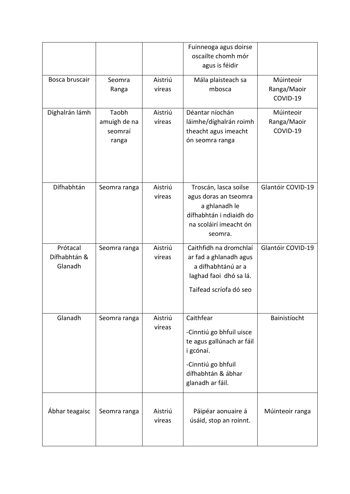|                |              |         | Fuinneoga agus doirse     |                   |
|----------------|--------------|---------|---------------------------|-------------------|
|                |              |         | oscailte chomh mór        |                   |
|                |              |         | agus is féidir            |                   |
| Bosca bruscair | Seomra       | Aistriú | Mála plaisteach sa        | Múinteoir         |
|                | Ranga        | víreas  | mbosca                    | Ranga/Maoir       |
|                |              |         |                           | COVID-19          |
| Díghalrán lámh | Taobh        | Aistriú | Déantar níochán           | Múinteoir         |
|                | amuigh de na | víreas  | láimhe/díghalrán roimh    | Ranga/Maoir       |
|                | seomraí      |         | theacht agus imeacht      | COVID-19          |
|                | ranga        |         | ón seomra ranga           |                   |
|                |              |         |                           |                   |
|                |              |         |                           |                   |
|                |              |         |                           |                   |
| Dífhabhtán     | Seomra ranga | Aistriú | Troscán, lasca soilse     | Glantóir COVID-19 |
|                |              | víreas  | agus doras an tseomra     |                   |
|                |              |         | a ghlanadh le             |                   |
|                |              |         | dífhabhtán i ndiaidh do   |                   |
|                |              |         | na scoláirí imeacht ón    |                   |
|                |              |         | seomra.                   |                   |
| Prótacal       | Seomra ranga | Aistriú | Caithfidh na dromchlaí    | Glantóir COVID-19 |
| Dífhabhtán &   |              | víreas  | ar fad a ghlanadh agus    |                   |
| Glanadh        |              |         | a dífhabhtánú ar a        |                   |
|                |              |         | laghad faoi dhó sa lá.    |                   |
|                |              |         | Taifead scríofa dó seo    |                   |
|                |              |         |                           |                   |
| Glanadh        | Seomra ranga | Aistriú | Caithfear                 | Bainistíocht      |
|                |              | víreas  | -Cinntiú go bhfuil uisce  |                   |
|                |              |         | te agus gallúnach ar fáil |                   |
|                |              |         | i gcónaí.                 |                   |
|                |              |         | -Cinntiú go bhfuil        |                   |
|                |              |         | dífhabhtán & ábhar        |                   |
|                |              |         | glanadh ar fáil.          |                   |
|                |              |         |                           |                   |
| Ábhar teagaisc | Seomra ranga | Aistriú | Páipéar aonuaire á        | Múinteoir ranga   |
|                |              | víreas  | úsáid, stop an roinnt.    |                   |
|                |              |         |                           |                   |
|                |              |         |                           |                   |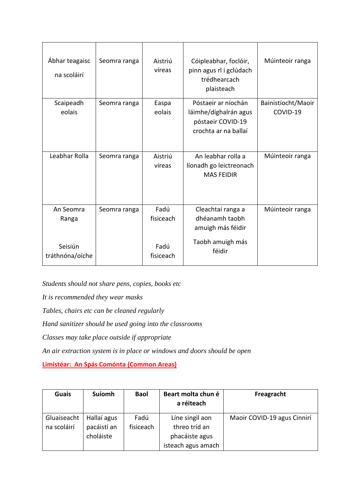| Ábhar teagaisc<br>na scoláirí | Seomra ranga | Aistriú<br>víreas | Cóipleabhar, foclóir,<br>pinn agus rl i gclúdach<br>trédhearcach<br>plaisteach            | Múinteoir ranga                |
|-------------------------------|--------------|-------------------|-------------------------------------------------------------------------------------------|--------------------------------|
| Scaipeadh<br>eolais           | Seomra ranga | Easpa<br>eolais   | Póstaeir ar níochán<br>láimhe/díghalrán agus<br>póstaeir COVID-19<br>crochta ar na ballaí | Bainistíocht/Maoir<br>COVID-19 |
| Leabhar Rolla                 | Seomra ranga | Aistriú<br>víreas | An leabhar rolla a<br>líonadh go leictreonach<br><b>MAS FEIDIR</b>                        | Múinteoir ranga                |
| An Seomra<br>Ranga            | Seomra ranga | Fadú<br>fisiceach | Cleachtaí ranga a<br>dhéanamh taobh<br>amuigh más féidir<br>Taobh amuigh más              | Múinteoir ranga                |
| Seisiún<br>tráthnóna/oíche    |              | Fadú<br>fisiceach | féidir                                                                                    |                                |

*Students should not share pens, copies, books etc*

*It is recommended they wear masks*

*Tables, chairs etc can be cleaned regularly* 

*Hand sanitizer should be used going into the classrooms*

*Classes may take place outside if appropriate*

*An air extraction system is in place or windows and doors should be open*

**Limistéar: An Spás Comónta (Common Areas)**

| <b>Guais</b> | Suíomh      | <b>Baol</b> | Beart molta chun é<br>a réiteach | Freagracht                  |
|--------------|-------------|-------------|----------------------------------|-----------------------------|
| Gluaiseacht  | Hallaí agus | Fadú        | Líne singil aon                  | Maoir COVID-19 agus Cinnirí |
| na scoláirí  | pacáistí an | fisiceach   | threo tríd an                    |                             |
|              | choláiste   |             | phacáiste agus                   |                             |
|              |             |             | isteach agus amach               |                             |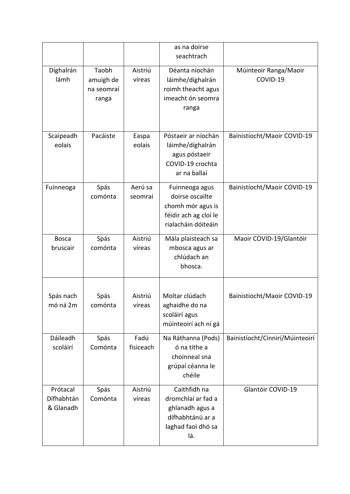|                                     |                                           |                    | as na doirse<br>seachtrach                                                                             |                                   |
|-------------------------------------|-------------------------------------------|--------------------|--------------------------------------------------------------------------------------------------------|-----------------------------------|
| Díghalrán<br>lámh                   | Taobh<br>amuigh de<br>na seomraí<br>ranga | Aistriú<br>víreas  | Déanta níochán<br>láimhe/díghalrán<br>roimh theacht agus<br>imeacht ón seomra<br>ranga                 | Múinteoir Ranga/Maoir<br>COVID-19 |
| Scaipeadh<br>eolais                 | Pacáiste                                  | Easpa<br>eolais    | Póstaeir ar níochán<br>láimhe/díghalrán<br>agus póstaeir<br>COVID-19 crochta<br>ar na ballaí           | Bainistíocht/Maoir COVID-19       |
| Fuinneoga                           | Spás<br>comónta                           | Aerú sa<br>seomraí | Fuinneoga agus<br>doirse oscailte<br>chomh mór agus is<br>féidir ach ag cloí le<br>rialacháin dóiteáin | Bainistíocht/Maoir COVID-19       |
| <b>Bosca</b><br>bruscair            | Spás<br>comónta                           | Aistriú<br>víreas  | Mála plaisteach sa<br>mbosca agus ar<br>chlúdach an<br>bhosca.                                         | Maoir COVID-19/Glantóir           |
| Spás nach<br>mó ná 2m               | Spás<br>comónta                           | Aistriú<br>víreas  | Moltar clúdach<br>aghaidhe do na<br>scoláirí agus<br>múinteoirí ach ní gá                              | Bainistíocht/Maoir COVID-19       |
| Dáileadh<br>scoláirí                | Spás<br>Comónta                           | Fadú<br>fisiceach  | Na Ráthanna (Pods)<br>ó na tithe a<br>choinneal sna<br>grúpaí céanna le<br>chéile                      | Bainistíocht/Cinnirí/Múinteoirí   |
| Prótacal<br>Dífhabhtán<br>& Glanadh | Spás<br>Comónta                           | Aistriú<br>víreas  | Caithfidh na<br>dromchlaí ar fad a<br>ghlanadh agus a<br>dífhabhtánú ar a<br>laghad faoi dhó sa<br>lá. | Glantóir COVID-19                 |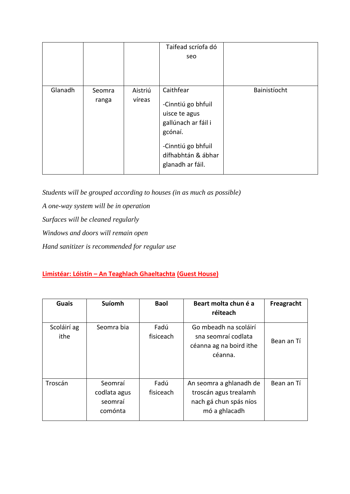|         |                 |                   | Taifead scríofa dó                                                                                                                                 |              |
|---------|-----------------|-------------------|----------------------------------------------------------------------------------------------------------------------------------------------------|--------------|
|         |                 |                   | seo                                                                                                                                                |              |
|         |                 |                   |                                                                                                                                                    |              |
| Glanadh | Seomra<br>ranga | Aistriú<br>víreas | Caithfear<br>-Cinntiú go bhfuil<br>uisce te agus<br>gallúnach ar fáil i<br>gcónaí.<br>-Cinntiú go bhfuil<br>dífhabhtán & ábhar<br>glanadh ar fáil. | Bainistíocht |

*Students will be grouped according to houses (in as much as possible) A one-way system will be in operation Surfaces will be cleaned regularly Windows and doors will remain open Hand sanitizer is recommended for regular use*

# **Limistéar: Lóistín – An Teaghlach Ghaeltachta (Guest House)**

| <b>Guais</b>        | <b>Suíomh</b>                                 | <b>Baol</b>       | Beart molta chun é a<br>réiteach                                                            | Freagracht |
|---------------------|-----------------------------------------------|-------------------|---------------------------------------------------------------------------------------------|------------|
| Scoláirí ag<br>ithe | Seomra bia                                    | Fadú<br>fisiceach | Go mbeadh na scoláirí<br>sna seomraí codlata<br>céanna ag na boird ithe<br>céanna.          | Bean an Tí |
| Troscán             | Seomraí<br>codlata agus<br>seomraí<br>comónta | Fadú<br>fisiceach | An seomra a ghlanadh de<br>troscán agus trealamh<br>nach gá chun spás níos<br>mó a ghlacadh | Bean an Tí |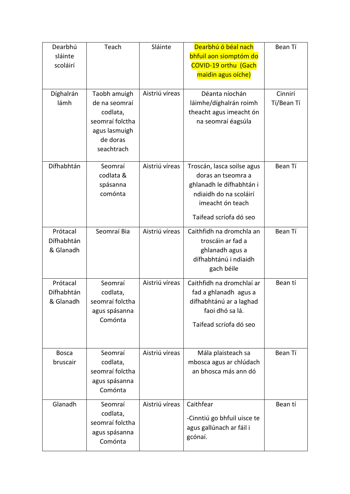| Dearbhú                | Teach           | Sláinte        | Dearbhú ó béal nach                              | Bean Tí    |
|------------------------|-----------------|----------------|--------------------------------------------------|------------|
| sláinte                |                 |                | bhfuil aon siomptóm do                           |            |
| scoláirí               |                 |                | <b>COVID-19 orthu (Gach</b>                      |            |
|                        |                 |                | maidin agus oíche)                               |            |
| Díghalrán              | Taobh amuigh    | Aistriú víreas | Déanta níochán                                   | Cinnirí    |
| lámh                   | de na seomraí   |                | láimhe/díghalrán roimh                           | Tí/Bean Tí |
|                        | codlata,        |                | theacht agus imeacht ón                          |            |
|                        | seomraí folctha |                | na seomraí éagsúla                               |            |
|                        | agus lasmuigh   |                |                                                  |            |
|                        | de doras        |                |                                                  |            |
|                        | seachtrach      |                |                                                  |            |
| Dífhabhtán             | Seomraí         | Aistriú víreas |                                                  | Bean Tí    |
|                        | codlata &       |                | Troscán, lasca soilse agus<br>doras an tseomra a |            |
|                        | spásanna        |                | ghlanadh le dífhabhtán i                         |            |
|                        | comónta         |                | ndiaidh do na scoláirí                           |            |
|                        |                 |                | imeacht ón teach                                 |            |
|                        |                 |                | Taifead scríofa dó seo                           |            |
|                        |                 | Aistriú víreas |                                                  |            |
| Prótacal<br>Dífhabhtán | Seomraí Bia     |                | Caithfidh na dromchla an<br>troscáin ar fad a    | Bean Tí    |
| & Glanadh              |                 |                | ghlanadh agus a                                  |            |
|                        |                 |                | dífhabhtánú i ndiaidh                            |            |
|                        |                 |                | gach béile                                       |            |
| Prótacal               | Seomraí         | Aistriú víreas | Caithfidh na dromchlaí ar                        | Bean tí    |
| Dífhabhtán             | codlata,        |                | fad a ghlanadh agus a                            |            |
| & Glanadh              | seomraí folctha |                | dífhabhtánú ar a laghad                          |            |
|                        | agus spásanna   |                | faoi dhó sa lá.                                  |            |
|                        | Comónta         |                |                                                  |            |
|                        |                 |                | Taifead scríofa dó seo                           |            |
|                        |                 |                |                                                  |            |
| <b>Bosca</b>           | Seomraí         | Aistriú víreas | Mála plaisteach sa                               | Bean Tí    |
| bruscair               | codlata,        |                | mbosca agus ar chlúdach                          |            |
|                        | seomraí folctha |                | an bhosca más ann dó                             |            |
|                        | agus spásanna   |                |                                                  |            |
|                        | Comónta         |                |                                                  |            |
| Glanadh                | Seomraí         | Aistriú víreas | Caithfear                                        | Bean tí    |
|                        | codlata,        |                | -Cinntiú go bhfuil uisce te                      |            |
|                        | seomraí folctha |                | agus gallúnach ar fáil i                         |            |
|                        | agus spásanna   |                | gcónaí.                                          |            |
|                        | Comónta         |                |                                                  |            |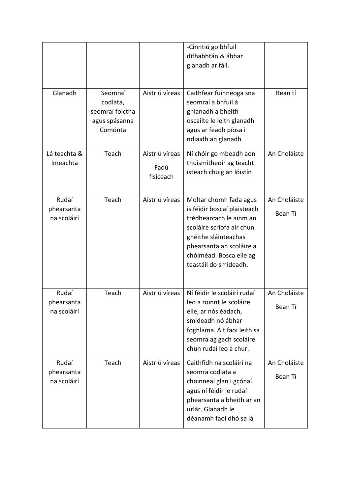|                                    |                                                                    |                                     | -Cinntiú go bhfuil<br>dífhabhtán & ábhar<br>glanadh ar fáil.                                                                                                                                                          |                         |
|------------------------------------|--------------------------------------------------------------------|-------------------------------------|-----------------------------------------------------------------------------------------------------------------------------------------------------------------------------------------------------------------------|-------------------------|
| Glanadh                            | Seomraí<br>codlata,<br>seomraí folctha<br>agus spásanna<br>Comónta | Aistriú víreas                      | Caithfear fuinneoga sna<br>seomraí a bhfuil á<br>ghlanadh a bheith<br>oscailte le leith glanadh<br>agus ar feadh píosa i<br>ndiaidh an glanadh                                                                        | Bean tí                 |
| Lá teachta &<br>Imeachta           | Teach                                                              | Aistriú víreas<br>Fadú<br>fisiceach | Ní chóir go mbeadh aon<br>thuismitheoir ag teacht<br>isteach chuig an lóistín                                                                                                                                         | An Choláiste            |
| Rudaí<br>phearsanta<br>na scoláirí | Teach                                                              | Aistriú víreas                      | Moltar chomh fada agus<br>is féidir boscaí plaisteach<br>trédhearcach le ainm an<br>scoláire scríofa air chun<br>gnéithe sláinteachas<br>phearsanta an scoláire a<br>chóiméad. Bosca eile ag<br>teastáil do smideadh. | An Choláiste<br>Bean Tí |
| Rudaí<br>phearsanta<br>na scoláirí | Teach                                                              | Aistriú víreas                      | Ní féidir le scoláirí rudaí<br>leo a roinnt le scoláire<br>eile, ar nós éadach,<br>smideadh nó ábhar<br>foghlama. Áit faoi leith sa<br>seomra ag gach scoláire<br>chun rudaí leo a chur.                              | An Choláiste<br>Bean Tí |
| Rudaí<br>phearsanta<br>na scoláirí | Teach                                                              | Aistriú víreas                      | Caithfidh na scoláirí na<br>seomra codlata a<br>choinneal glan i gcónaí<br>agus ní féidir le rudaí<br>phearsanta a bheith ar an<br>urlár. Glanadh le<br>déanamh faoi dhó sa lá                                        | An Choláiste<br>Bean Tí |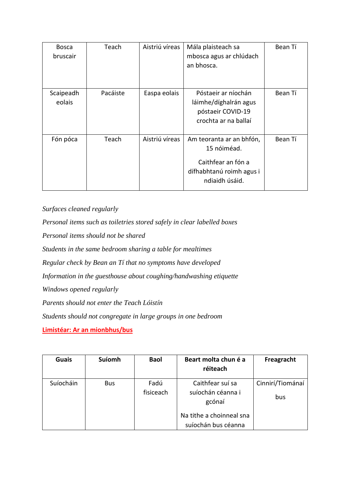| <b>Bosca</b><br>bruscair | Teach    | Aistriú víreas | Mála plaisteach sa<br>mbosca agus ar chlúdach<br>an bhosca.                                                 | Bean Tí |
|--------------------------|----------|----------------|-------------------------------------------------------------------------------------------------------------|---------|
| Scaipeadh<br>eolais      | Pacáiste | Easpa eolais   | Póstaeir ar níochán<br>láimhe/díghalrán agus<br>póstaeir COVID-19<br>crochta ar na ballaí                   | Bean Tí |
| Fón póca                 | Teach    | Aistriú víreas | Am teoranta ar an bhfón,<br>15 nóiméad.<br>Caithfear an fón a<br>dífhabhtanú roimh agus i<br>ndiaidh úsáid. | Bean Tí |

*Surfaces cleaned regularly*

*Personal items such as toiletries stored safely in clear labelled boxes Personal items should not be shared Students in the same bedroom sharing a table for mealtimes Regular check by Bean an Tí that no symptoms have developed Information in the guesthouse about coughing/handwashing etiquette Windows opened regularly Parents should not enter the Teach Lóistín Students should not congregate in large groups in one bedroom*

**Limistéar: Ar an mionbhus/bus**

| <b>Guais</b> | Suíomh     | <b>Baol</b>       | Beart molta chun é a<br>réiteach                | Freagracht              |
|--------------|------------|-------------------|-------------------------------------------------|-------------------------|
| Suíocháin    | <b>Bus</b> | Fadú<br>fisiceach | Caithfear suí sa<br>suíochán céanna i<br>gcónaí | Cinnirí/Tiománaí<br>bus |
|              |            |                   | Na tithe a choinneal sna<br>suíochán bus céanna |                         |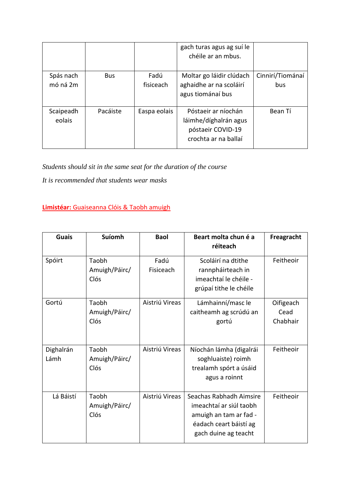|           |            |              | gach turas agus ag suí le<br>chéile ar an mbus. |                  |
|-----------|------------|--------------|-------------------------------------------------|------------------|
| Spás nach | <b>Bus</b> | Fadú         | Moltar go láidir clúdach                        | Cinnirí/Tiománaí |
| mó ná 2m  |            | fisiceach    | aghaidhe ar na scoláirí                         | bus              |
|           |            |              | agus tiománaí bus                               |                  |
| Scaipeadh | Pacáiste   | Easpa eolais | Póstaeir ar níochán                             | Bean Tí          |
| eolais    |            |              | láimhe/díghalrán agus                           |                  |
|           |            |              | póstaeir COVID-19                               |                  |
|           |            |              | crochta ar na ballaí                            |                  |

*Students should sit in the same seat for the duration of the course*

*It is recommended that students wear masks*

**Limistéar:** Guaiseanna Clóis & Taobh amuigh

| <b>Guais</b>      | <b>Suíomh</b>                  | <b>Baol</b>       | Beart molta chun é a<br>réiteach                                                                                               | Freagracht                    |
|-------------------|--------------------------------|-------------------|--------------------------------------------------------------------------------------------------------------------------------|-------------------------------|
| Spóirt            | Taobh<br>Amuigh/Páirc/<br>Clós | Fadú<br>Fisiceach | Scoláirí na dtithe<br>rannpháirteach in<br>imeachtaí le chéile -<br>grúpaí tithe le chéile                                     | Feitheoir                     |
| Gortú             | Taobh<br>Amuigh/Páirc/<br>Clós | Aistriú Vireas    | Lámhainní/masc le<br>caitheamh ag scrúdú an<br>gortú                                                                           | Oifigeach<br>Cead<br>Chabhair |
| Dighalrán<br>Lámh | Taobh<br>Amuigh/Páirc/<br>Clós | Aistriú Vireas    | Níochán lámha (digalrái<br>soghluaiste) roimh<br>trealamh spórt a úsáid<br>agus a roinnt                                       | Feitheoir                     |
| Lá Báistí         | Taobh<br>Amuigh/Páirc/<br>Clós | Aistriú Vireas    | Seachas Rabhadh Aimsire<br>imeachtaí ar siúl taobh<br>amuigh an tam ar fad -<br>éadach ceart báistí ag<br>gach duine ag teacht | Feitheoir                     |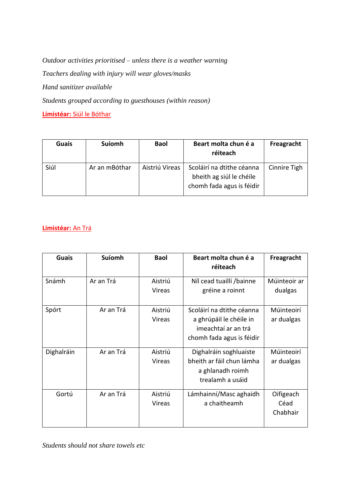*Outdoor activities prioritised – unless there is a weather warning Teachers dealing with injury will wear gloves/masks Hand sanitizer available Students grouped according to guesthouses (within reason)* **Limistéar:** Siúl le Bóthar

| <b>Guais</b> | <b>Suíomh</b> | <b>Baol</b>    | Beart molta chun é a<br>réiteach                                                   | Freagracht   |
|--------------|---------------|----------------|------------------------------------------------------------------------------------|--------------|
| Siúl         | Ar an mBóthar | Aistriú Vireas | Scoláirí na dtithe céanna<br>bheith ag siúl le chéile<br>chomh fada agus is féidir | Cinnire Tigh |

## **Limistéar:** An Trá

| <b>Guais</b> | <b>Suíomh</b> | <b>Baol</b>              | Beart molta chun é a<br>réiteach            | Freagracht              |
|--------------|---------------|--------------------------|---------------------------------------------|-------------------------|
| Snámh        | Ar an Trá     | Aistriú<br><b>Vireas</b> | Níl cead tuaillí /bainne<br>gréine a roinnt | Múinteoir ar<br>dualgas |
|              |               |                          |                                             |                         |
| Spórt        | Ar an Trá     | Aistriú                  | Scoláirí na dtithe céanna                   | Múinteoirí              |
|              |               | Vireas                   | a ghrúpáil le chéile in                     | ar dualgas              |
|              |               |                          | imeachtaí ar an trá                         |                         |
|              |               |                          | chomh fada agus is féidir                   |                         |
| Dighalráin   | Ar an Trá     | Aistriú                  | Dighalráin soghluaiste                      | Múinteoirí              |
|              |               | Vireas                   | bheith ar fáil chun lámha                   | ar dualgas              |
|              |               |                          | a ghlanadh roimh                            |                         |
|              |               |                          | trealamh a usáid                            |                         |
| Gortú        | Ar an Trá     | Aistriú                  | Lámhainní/Masc aghaidh                      | Oifigeach               |
|              |               | Vireas                   | a chaitheamh                                | Céad                    |
|              |               |                          |                                             | Chabhair                |

*Students should not share towels etc*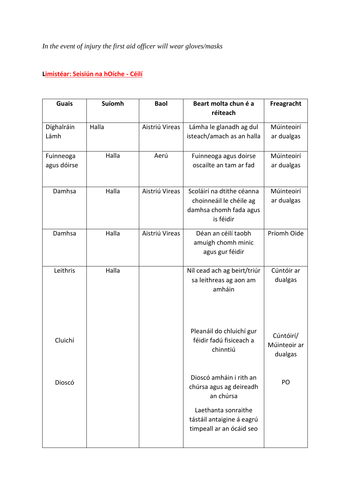# **Limistéar: Seisiún na hOíche - Céilí**

| <b>Guais</b>             | Suíomh | <b>Baol</b>    | Beart molta chun é a<br>réiteach                                                            | Freagracht                           |
|--------------------------|--------|----------------|---------------------------------------------------------------------------------------------|--------------------------------------|
| Díghalráin<br>Lámh       | Halla  | Aistriú Vireas | Lámha le glanadh ag dul<br>isteach/amach as an halla                                        | Múinteoirí<br>ar dualgas             |
| Fuinneoga<br>agus dóirse | Halla  | Aerú           | Fuinneoga agus doirse<br>oscailte an tam ar fad                                             | Múinteoirí<br>ar dualgas             |
| Damhsa                   | Halla  | Aistriú Vireas | Scoláirí na dtithe céanna<br>choinneáil le chéile ag<br>damhsa chomh fada agus<br>is féidir | Múinteoirí<br>ar dualgas             |
| Damhsa                   | Halla  | Aistriú Vireas | Déan an céilí taobh<br>amuigh chomh minic<br>agus gur féidir                                | Príomh Oide                          |
| Leithris                 | Halla  |                | Níl cead ach ag beirt/triúr<br>sa leithreas ag aon am<br>amháin                             | Cúntóir ar<br>dualgas                |
| Cluichí                  |        |                | Pleanáil do chluichí gur<br>féidir fadú fisiceach a<br>chinntiú                             | Cúntóirí/<br>Múinteoir ar<br>dualgas |
| Dioscó                   |        |                | Dioscó amháin i rith an<br>chúrsa agus ag deireadh<br>an chúrsa                             | PO                                   |
|                          |        |                | Laethanta sonraithe<br>tástáil antaigine á eagrú<br>timpeall ar an ócáid seo                |                                      |